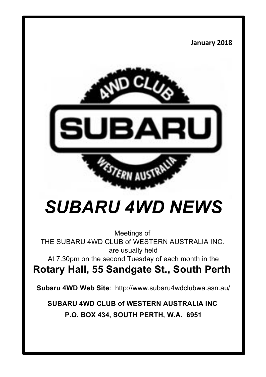#### **January 2018**



# *SUBARU 4WD NEWS*

Meetings of THE SUBARU 4WD CLUB of WESTERN AUSTRALIA INC. are usually held

At 7.30pm on the second Tuesday of each month in the

**Rotary Hall, 55 Sandgate St., South Perth**

**Subaru 4WD Web Site**: http://www.subaru4wdclubwa.asn.au/

**SUBARU 4WD CLUB of WESTERN AUSTRALIA INC P.O. BOX 434, SOUTH PERTH, W.A. 6951**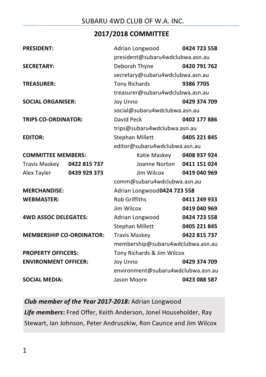#### **2017/2018 COMMITTEE**

| <b>PRESIDENT:</b>               |              | Adrian Longwood                    | 0424 723 558 |  |  |  |
|---------------------------------|--------------|------------------------------------|--------------|--|--|--|
|                                 |              | president@subaru4wdclubwa.asn.au   |              |  |  |  |
| <b>SECRETARY:</b>               |              | Deborah Thyne                      | 0420 791 762 |  |  |  |
|                                 |              | secretary@subaru4wdclubwa.asn.au   |              |  |  |  |
| <b>TREASURER:</b>               |              | <b>Tony Richards</b>               | 9386 7705    |  |  |  |
|                                 |              | treasurer@subaru4wdclubwa.asn.au   |              |  |  |  |
| <b>SOCIAL ORGANISER:</b>        |              | Joy Unno                           | 0429 374 709 |  |  |  |
|                                 |              | social@subaru4wdclubwa.asn.au      |              |  |  |  |
| <b>TRIPS CO-ORDINATOR:</b>      |              | David Peck                         | 0402 177 886 |  |  |  |
|                                 |              | trips@subaru4wdclubwa.asn.au       |              |  |  |  |
| <b>EDITOR:</b>                  |              | <b>Stephan Millett</b>             | 0405 221 845 |  |  |  |
|                                 |              | editor@subaru4wdclubwa.asn.au      |              |  |  |  |
| <b>COMMITTEE MEMBERS:</b>       |              | Katie Maskey 0408 937 924          |              |  |  |  |
| Travis Maskey 0422 815 737      |              | Joanne Norton 0411 151 024         |              |  |  |  |
| Alex Tayler                     | 0439 929 373 | Jim Wilcox 0419 040 969            |              |  |  |  |
|                                 |              | comm@subaru4wdclubwa.asn.au        |              |  |  |  |
| <b>MERCHANDISE:</b>             |              | Adrian Longwood0424 723 558        |              |  |  |  |
| <b>WEBMASTER:</b>               |              | <b>Rob Griffiths</b>               | 0411 249 933 |  |  |  |
|                                 |              | Jim Wilcox                         | 0419 040 969 |  |  |  |
| <b>4WD ASSOC DELEGATES:</b>     |              | Adrian Longwood                    | 0424 723 558 |  |  |  |
|                                 |              | <b>Stephan Millett</b>             | 0405 221 845 |  |  |  |
| <b>MEMBERSHIP CO-ORDINATOR:</b> |              | <b>Travis Maskey</b>               | 0422 815 737 |  |  |  |
|                                 |              | membership@subaru4wdclubwa.asn.au  |              |  |  |  |
| <b>PROPERTY OFFICERS:</b>       |              | Tony Richards & Jim Wilcox         |              |  |  |  |
| <b>ENVIRONMENT OFFICER:</b>     |              | Joy Unno                           | 0429 374 709 |  |  |  |
|                                 |              | environment@subaru4wdclubwa.asn.au |              |  |  |  |
| <b>SOCIAL MEDIA:</b>            |              | Jason Moore<br>0423 088 587        |              |  |  |  |

*Club member of the Year 2017-2018:* Adrian Longwood Life members: Fred Offer, Keith Anderson, Jonel Householder, Ray Stewart, Ian Johnson, Peter Andruszkiw, Ron Caunce and Jim Wilcox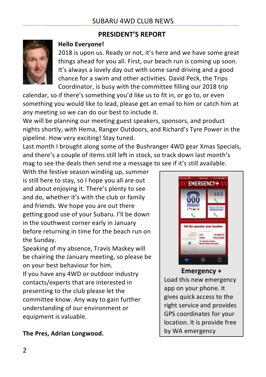#### **PRESIDENT'S REPORT**



#### **Hello Everyone!**

2018 is upon us. Ready or not, it's here and we have some great things ahead for you all. First, our beach run is coming up soon. It's always a lovely day out with some sand driving and a good chance for a swim and other activities. David Peck, the Trips Coordinator, is busy with the committee filling our 2018 trip

calendar, so if there's something you'd like us to fit in, or go to, or even something you would like to lead, please get an email to him or catch him at any meeting so we can do our best to include it.

We will be planning our meeting guest speakers, sponsors, and product nights shortly, with Hema, Ranger Outdoors, and Richard's Tyre Power in the pipeline. How very exciting! Stay tuned.

Last month I brought along some of the Bushranger 4WD gear Xmas Specials, and there's a couple of items still left in stock, so track down last month's mag to see the deals then send me a message to see if it's still available.

With the festive season winding up, summer is still here to stay, so I hope you all are out and about enjoying it. There's plenty to see and do, whether it's with the club or family and friends. We hope you are out there getting good use of your Subaru. I'll be down in the southwest corner early in January before returning in time for the beach run on the Sunday.

Speaking of my absence, Travis Maskey will be chairing the January meeting, so please be on your best behaviour for him.

If you have any 4WD or outdoor industry contacts/experts that are interested in presenting to the club please let the committee know. Any way to gain further understanding of our environment or equipment is valuable.



# **Emergency +**

Load this new emergency app on your phone. It gives quick access to the right service and provides GPS coordinates for your location. It is provide free by WA emergency

services. 

**The Pres, Adrian Longwood.**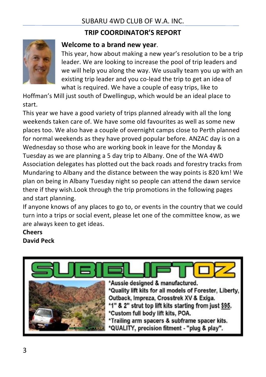#### SUBARU 4WD CLUB OF W A INC.

#### **TRIP COORDINATOR'S REPORT**



#### **Welcome to a brand new year.**

This year, how about making a new year's resolution to be a trip leader. We are looking to increase the pool of trip leaders and we will help you along the way. We usually team you up with an existing trip leader and you co-lead the trip to get an idea of what is required. We have a couple of easy trips, like to

Hoffman's Mill just south of Dwellingup, which would be an ideal place to start.

This year we have a good variety of trips planned already with all the long weekends taken care of. We have some old favourites as well as some new places too. We also have a couple of overnight camps close to Perth planned for normal weekends as they have proved popular before. ANZAC day is on a Wednesday so those who are working book in leave for the Monday & Tuesday as we are planning a 5 day trip to Albany. One of the WA 4WD Association delegates has plotted out the back roads and forestry tracks from Mundaring to Albany and the distance between the way points is 820 km! We plan on being in Albany Tuesday night so people can attend the dawn service there if they wish.Look through the trip promotions in the following pages and start planning.

If anyone knows of any places to go to, or events in the country that we could turn into a trips or social event, please let one of the committee know, as we are always keen to get ideas.

#### **Cheers David Peck**

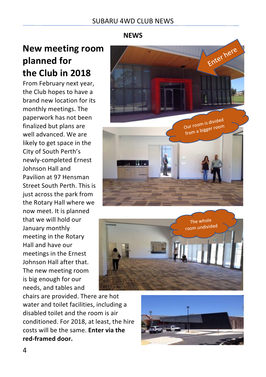#### **NEWS**

# **New meeting room planned** for **the Club in 2018**

From February next year, the Club hopes to have a brand new location for its monthly meetings. The paperwork has not been finalized but plans are well advanced. We are likely to get space in the City of South Perth's newly-completed Ernest Johnson Hall and Pavilion at 97 Hensman Street South Perth. This is just across the park from the Rotary Hall where we now meet. It is planned that we will hold our January monthly meeting in the Rotary Hall and have our meetings in the Ernest Johnson Hall after that. The new meeting room is big enough for our needs, and tables and 





chairs are provided. There are hot water and toilet facilities, including a disabled toilet and the room is air conditioned. For 2018, at least, the hire costs will be the same. **Enter via the red-framed door.**

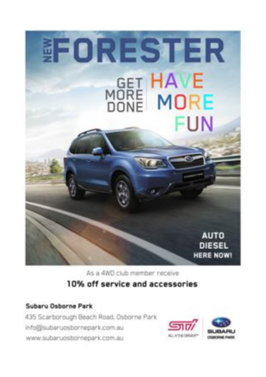

As a 4WD club member receive

### 10% off service and accessories

#### Subaru Osborne Park

435 Scarborough Beach Road, Osborne Park info@subaruosbornepark.com.au www.subaruosbornepark.com.au

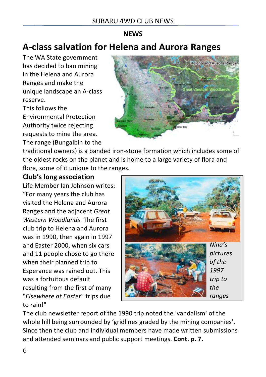#### **NEWS**

# **A-class salvation for Helena and Aurora Ranges**

The WA State government has decided to ban mining in the Helena and Aurora Ranges and make the unique landscape an A-class reserve. This follows the Environmental Protection 

Authority twice rejecting requests to mine the area. The range (Bungalbin to the



traditional owners) is a banded iron-stone formation which includes some of the oldest rocks on the planet and is home to a large variety of flora and flora, some of it unique to the ranges.

#### **Club's long association**

Life Member Ian Johnson writes: "For many years the club has visited the Helena and Aurora Ranges and the adjacent *Great Western Woodlands*. The first club trip to Helena and Aurora was in 1990, then again in 1997 and Easter 2000, when six cars and 11 people chose to go there when their planned trip to Esperance was rained out. This was a fortuitous default resulting from the first of many "*Elsewhere at Easter*" trips due to rain!"



The club newsletter report of the 1990 trip noted the 'vandalism' of the whole hill being surrounded by 'gridlines graded by the mining companies'. Since then the club and individual members have made written submissions and attended seminars and public support meetings. **Cont. p. 7.**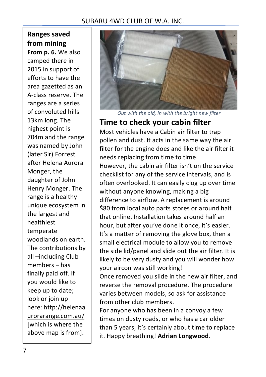#### SUBARU 4WD CLUB OF W A INC.

## **Ranges saved from mining**

**From p. 6.** We also camped there in 2015 in support of efforts to have the area gazetted as an A-class reserve. The ranges are a series of convoluted hills 13km long. The highest point is 704m and the range was named by John (later Sir) Forrest after Helena Aurora Monger, the daughter of John Henry Monger. The range is a healthy unique ecosystem in the largest and healthiest temperate woodlands on earth. The contributions by all-including Club  $members - has$ finally paid off. If you would like to keep up to date; look or join up here: http://helenaa urorarange.com.au/ [which is where the above map is from].



*Out with the old, in with the bright new filter*

#### **Time to check your cabin filter**

Most vehicles have a Cabin air filter to trap pollen and dust. It acts in the same way the air filter for the engine does and like the air filter it needs replacing from time to time.

However, the cabin air filter isn't on the service checklist for any of the service intervals, and is often overlooked. It can easily clog up over time without anyone knowing, making a big difference to airflow. A replacement is around \$80 from local auto parts stores or around half that online. Installation takes around half an hour, but after you've done it once, it's easier. It's a matter of removing the glove box, then a small electrical module to allow you to remove the side lid/panel and slide out the air filter. It is likely to be very dusty and you will wonder how your aircon was still working!

Once removed you slide in the new air filter, and reverse the removal procedure. The procedure varies between models, so ask for assistance from other club members.

For anyone who has been in a convoy a few times on dusty roads, or who has a car older than 5 years, it's certainly about time to replace it. Happy breathing! **Adrian Longwood**.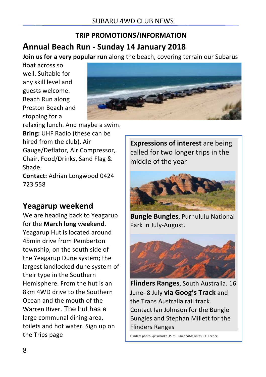## **Annual Beach Run - Sunday 14 January 2018 TRIP PROMOTIONS/INFORMATION**

**Join us for a very popular run** along the beach, covering terrain our Subarus

float across so well. Suitable for any skill level and guests welcome. Beach Run along Preston Beach and stopping for a



relaxing lunch. And maybe a swim. **Bring:** UHF Radio (these can be hired from the club). Air Gauge/Deflator, Air Compressor, Chair, Food/Drinks, Sand Flag & Shade.

**Contact:** Adrian Longwood 0424 723 558

## **Yeagarup weekend**

We are heading back to Yeagarup for the **March long weekend**. Yeagarup Hut is located around 45min drive from Pemberton township, on the south side of the Yeagarup Dune system; the largest landlocked dune system of their type in the Southern Hemisphere. From the hut is an 8km 4WD drive to the Southern Ocean and the mouth of the Warren River. The hut has a large communal dining area, toilets and hot water. Sign up on the Trips page

**Expressions of interest** are being called for two longer trips in the middle of the year



**Bungle Bungles**, Purnululu National Park in July-August.



**Flinders Ranges**, South Australia. 16 June- 8 July **via Goog's Track** and the Trans Australia rail track. Contact Ian Johnson for the Bungle Bungles and Stephan Millett for the Flinders Ranges

Flinders photo: @tscharke. Purnululu photo: Bäras CC licence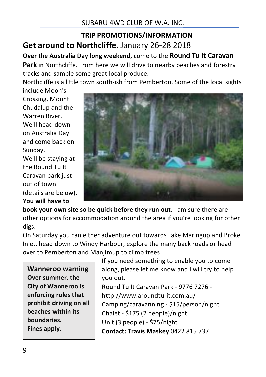## **Get around to Northcliffe.** January 26-28 2018 **TRIP PROMOTIONS/INFORMATION**

**Over the Australia Day long weekend, come to the Round Tu It Caravan** 

**Park** in Northcliffe. From here we will drive to nearby beaches and forestry tracks and sample some great local produce.

Northcliffe is a little town south-ish from Pemberton. Some of the local sights

include Moon's Crossing, Mount Chudalup and the Warren River. We'll head down on Australia Day and come back on Sunday. We'll be staying at the Round Tu It Caravan park just out of town 

(details are below).

**You will have to** 



**book your own site so be quick before they run out.** I am sure there are other options for accommodation around the area if you're looking for other digs.

On Saturday you can either adventure out towards Lake Maringup and Broke Inlet, head down to Windy Harbour, explore the many back roads or head over to Pemberton and Manjimup to climb trees.

**Wanneroo warning Over summer, the City of Wanneroo is enforcing rules that** prohibit driving on all **beaches** within its **boundaries. Fines apply**. 

If you need something to enable you to come along, please let me know and I will try to help you out.

Round Tu It Caravan Park - 9776 7276 http://www.aroundtu-it.com.au/ Camping/caravanning - \$15/person/night Chalet - \$175 (2 people)/night Unit (3 people) - \$75/night **Contact: Travis Maskey 0422 815 737**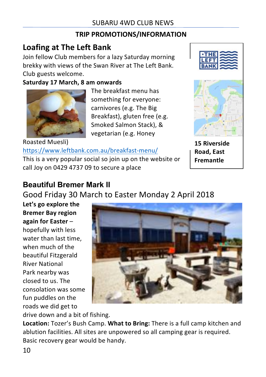## **TRIP PROMOTIONS/INFORMATION**

# **Loafing at The Left Bank**

Join fellow Club members for a lazy Saturday morning brekky with views of the Swan River at The Left Bank. Club guests welcome.

#### **Saturday 17 March, 8 am onwards**



The breakfast menu has something for everyone: carnivores (e.g. The Big Breakfast), gluten free (e.g. Smoked Salmon Stack), & vegetarian (e.g. Honey

Roasted Muesli) https://www.leftbank.com.au/breakfast-menu/ This is a very popular social so ioin up on the website or call Joy on 0429 4737 09 to secure a place



**15 Riverside Road, East Fremantle**

## **Beautiful Bremer Mark II**

Good Friday 30 March to Easter Monday 2 April 2018

Let's go explore the **Bremer Bay region again for Easter** – hopefully with less water than last time. when much of the beautiful Fitzgerald River National Park nearby was closed to us. The consolation was some fun puddles on the roads we did get to



drive down and a bit of fishing.

**Location:** Tozer's Bush Camp. **What to Bring:** There is a full camp kitchen and ablution facilities. All sites are unpowered so all camping gear is required. Basic recovery gear would be handy.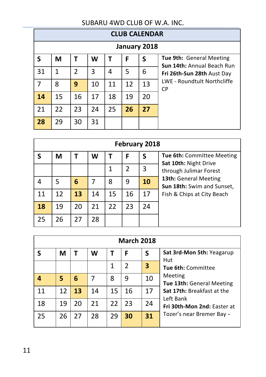#### SUBARU 4WD CLUB OF W.A. INC.

| <b>CLUB CALENDAR</b> |    |               |    |    |    |    |                                                               |  |
|----------------------|----|---------------|----|----|----|----|---------------------------------------------------------------|--|
| January 2018         |    |               |    |    |    |    |                                                               |  |
| S                    | M  | т             | W  | т  | F  | S  | <b>Tue 9th: General Meeting</b><br>Sun 14th: Annual Beach Run |  |
| 31                   | 1  | $\mathfrak z$ | 3  | 4  | 5  | 6  | Fri 26th-Sun 28th Aust Day                                    |  |
| $\overline{7}$       | 8  | 9             | 10 | 11 | 12 | 13 | LWE - Roundtult Northcliffe<br><b>CP</b>                      |  |
| 14                   | 15 | 16            | 17 | 18 | 19 | 20 |                                                               |  |
| 21                   | 22 | 23            | 24 | 25 | 26 | 27 |                                                               |  |
| 28                   | 29 | 30            | 31 |    |    |    |                                                               |  |

| February 2018 |    |    |    |    |    |    |                                                     |  |
|---------------|----|----|----|----|----|----|-----------------------------------------------------|--|
|               | М  |    | W  |    | F  | S  | <b>Tue 6th: Committee Meeting</b>                   |  |
|               |    |    |    |    | 2  | 3  | Sat 10th: Night Drive<br>through Julimar Forest     |  |
|               | 5  | 6  |    | 8  | 9  | 10 | 13th: General Meeting<br>Sun 18th: Swim and Sunset, |  |
| 11            | 12 | 13 | 14 | 15 | 16 | 17 | Fish & Chips at City Beach                          |  |
| 18            | 19 | 20 | 21 | 22 | 23 | 24 |                                                     |  |
| 25            | 26 | 27 | 28 |    |    |    |                                                     |  |

| <b>March 2018</b> |    |    |    |    |                |    |                                         |  |
|-------------------|----|----|----|----|----------------|----|-----------------------------------------|--|
|                   | М  |    | W  |    | F              | S  | Sat 3rd-Mon 5th: Yeagarup<br>Hut        |  |
|                   |    |    |    | 1  | $\mathfrak{p}$ | 3  | Tue 6th: Committee                      |  |
|                   | 5  | 6  |    | 8  | 9              | 10 | Meeting<br>Tue 13th: General Meeting    |  |
| 11                | 12 | 13 | 14 | 15 | 16             | 17 | Sat 17th: Breakfast at the<br>Left Bank |  |
| 18                | 19 | 20 | 21 | 22 | 23             | 24 | Fri 30th-Mon 2nd: Faster at             |  |
| 25                | 26 | 27 | 28 | 29 | 30             | 31 | Tozer's near Bremer Bay -               |  |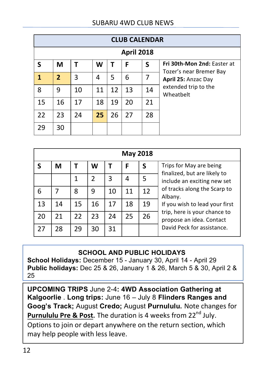| <b>CLUB CALENDAR</b> |                |    |    |    |    |                |                                                        |  |
|----------------------|----------------|----|----|----|----|----------------|--------------------------------------------------------|--|
| <b>April 2018</b>    |                |    |    |    |    |                |                                                        |  |
| ς                    | M              |    | W  | Т  | F  | S              | Fri 30th-Mon 2nd: Faster at<br>Tozer's near Bremer Bay |  |
| 1                    | $\overline{2}$ | 3  | 4  | 5  | 6  | $\overline{7}$ | April 25: Anzac Day                                    |  |
| 8                    | 9              | 10 | 11 | 12 | 13 | 14             | extended trip to the<br>Wheatbelt                      |  |
| 15                   | 16             | 17 | 18 | 19 | 20 | 21             |                                                        |  |
| 22                   | 23             | 24 | 25 | 26 | 27 | 28             |                                                        |  |
| 29                   | 30             |    |    |    |    |                |                                                        |  |

|    | <b>May 2018</b> |    |    |    |    |    |                                                          |  |  |
|----|-----------------|----|----|----|----|----|----------------------------------------------------------|--|--|
|    | M               |    | W  |    | F  | S  | Trips for May are being<br>finalized, but are likely to  |  |  |
|    |                 | 1  | 2  | 3  | 4  | 5  | include an exciting new set                              |  |  |
| 6  | 7               | 8  | 9  | 10 | 11 | 12 | of tracks along the Scarp to<br>Albany.                  |  |  |
| 13 | 14              | 15 | 16 | 17 | 18 | 19 | If you wish to lead your first                           |  |  |
| 20 | 21              | 22 | 23 | 24 | 25 | 26 | trip, here is your chance to<br>propose an idea. Contact |  |  |
| 27 | 28              | 29 | 30 | 31 |    |    | David Peck for assistance.                               |  |  |

#### **SCHOOL AND PUBLIC HOLIDAYS**

**School Holidays:** December 15 - January 30, April 14 - April 29 **Public holidays:** Dec 25 & 26, January 1 & 26, March 5 & 30, April 2 & 25

**UPCOMING TRIPS** June 2-4**: 4WD Association Gathering at Kalgoorlie** . **Long trips:** June 16 – July 8 **Flinders Ranges and Goog's Track; August Credo; August Purnululu. Note changes for Purnululu Pre & Post.** The duration is 4 weeks from 22<sup>nd</sup> July. Options to join or depart anywhere on the return section, which may help people with less leave.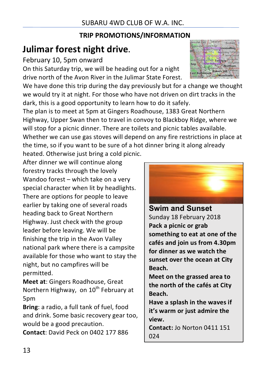#### **TRIP PROMOTIONS/INFORMATION**

# **Julimar forest night drive.**

February 10, 5pm onward

On this Saturday trip, we will be heading out for a night drive north of the Avon River in the Julimar State Forest.

We have done this trip during the day previously but for a change we thought we would try it at night. For those who have not driven on dirt tracks in the dark, this is a good opportunity to learn how to do it safely.

The plan is to meet at 5pm at Gingers Roadhouse, 1383 Great Northern Highway, Upper Swan then to travel in convoy to Blackboy Ridge, where we will stop for a picnic dinner. There are toilets and picnic tables available. Whether we can use gas stoves will depend on any fire restrictions in place at the time, so if you want to be sure of a hot dinner bring it along already heated. Otherwise just bring a cold picnic.

After dinner we will continue along forestry tracks through the lovely Wandoo forest  $-$  which take on a very special character when lit by headlights. There are options for people to leave earlier by taking one of several roads heading back to Great Northern Highway. Just check with the group leader before leaving. We will be finishing the trip in the Avon Valley national park where there is a campsite available for those who want to stay the night, but no campfires will be permitted.

**Meet at:** Gingers Roadhouse, Great Northern Highway, on 10<sup>th</sup> February at 5pm

**Bring**: a radio, a full tank of fuel, food and drink. Some basic recovery gear too, would be a good precaution.

**Contact:** David Peck on 0402 177 886





**Swim and Sunset**  Sunday 18 February 2018 Pack a picnic or grab something to eat at one of the cafés and join us from 4.30pm for dinner as we watch the sunset over the ocean at City **Beach.**

**Meet** on the grassed area to **the north of the cafés at City Beach.**

Have a splash in the waves if **it's** warm or just admire the **view.**

**Contact:** Jo Norton 0411 151 024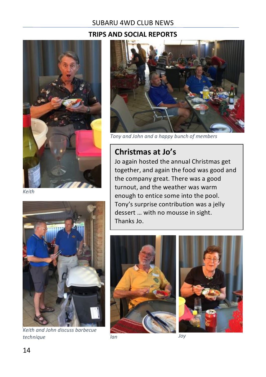#### **TRIPS AND SOCIAL REPORTS**



*Keith*



*Keith and John discuss barbecue technique Ian Joy*



*Tony and John and a happy bunch of members*

## **Christmas at Jo's**

Jo again hosted the annual Christmas get together, and again the food was good and the company great. There was a good turnout, and the weather was warm enough to entice some into the pool. Tony's surprise contribution was a jelly dessert ... with no mousse in sight. Thanks Io.





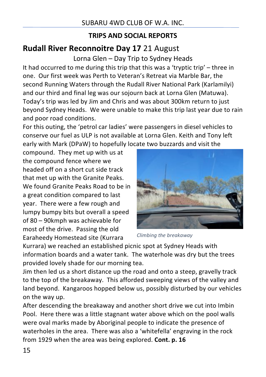#### **TRIPS AND SOCIAL REPORTS**

## **Rudall River Reconnoitre Day 17 21 August**

Lorna Glen - Day Trip to Sydney Heads

It had occurred to me during this trip that this was a 'tryptic trip' – three in one. Our first week was Perth to Veteran's Retreat via Marble Bar, the second Running Waters through the Rudall River National Park (Karlamilyi) and our third and final leg was our sojourn back at Lorna Glen (Matuwa). Today's trip was led by Jim and Chris and was about 300km return to just beyond Sydney Heads. We were unable to make this trip last year due to rain and poor road conditions.

For this outing, the 'petrol car ladies' were passengers in diesel vehicles to conserve our fuel as ULP is not available at Lorna Glen. Keith and Tony left early with Mark (DPaW) to hopefully locate two buzzards and visit the

compound. They met up with us at the compound fence where we headed off on a short cut side track that met up with the Granite Peaks. We found Granite Peaks Road to be in a great condition compared to last year. There were a few rough and lumpy bumpy bits but overall a speed of 80 – 90kmph was achievable for most of the drive. Passing the old Earaheedy Homestead site (Kurrara



*Climbing the breakaway*

Kurrara) we reached an established picnic spot at Sydney Heads with information boards and a water tank. The waterhole was dry but the trees provided lovely shade for our morning tea.

Jim then led us a short distance up the road and onto a steep, gravelly track to the top of the breakaway. This afforded sweeping views of the valley and land beyond. Kangaroos hopped below us, possibly disturbed by our vehicles on the way up.

After descending the breakaway and another short drive we cut into Imbin Pool. Here there was a little stagnant water above which on the pool walls were oval marks made by Aboriginal people to indicate the presence of waterholes in the area. There was also a 'whitefella' engraving in the rock from 1929 when the area was being explored. Cont. p. 16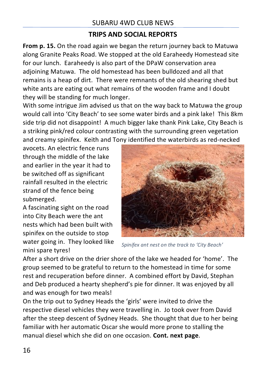#### **TRIPS AND SOCIAL REPORTS**

**From p. 15.** On the road again we began the return journey back to Matuwa along Granite Peaks Road. We stopped at the old Earaheedy Homestead site for our lunch. Earaheedy is also part of the DPaW conservation area adjoining Matuwa. The old homestead has been bulldozed and all that remains is a heap of dirt. There were remnants of the old shearing shed but white ants are eating out what remains of the wooden frame and I doubt they will be standing for much longer.

With some intrigue Jim advised us that on the way back to Matuwa the group would call into 'City Beach' to see some water birds and a pink lake! This 8km side trip did not disappoint! A much bigger lake thank Pink Lake, City Beach is a striking pink/red colour contrasting with the surrounding green vegetation and creamy spinifex. Keith and Tony identified the waterbirds as red-necked

avocets. An electric fence runs through the middle of the lake and earlier in the year it had to be switched off as significant rainfall resulted in the electric strand of the fence being submerged.

A fascinating sight on the road into City Beach were the ant nests which had been built with spinifex on the outside to stop water going in. They looked like mini spare tyres!



*Spinifex ant nest on the track to 'City Beach'*

After a short drive on the drier shore of the lake we headed for 'home'. The group seemed to be grateful to return to the homestead in time for some rest and recuperation before dinner. A combined effort by David, Stephan and Deb produced a hearty shepherd's pie for dinner. It was enjoyed by all and was enough for two meals!

On the trip out to Sydney Heads the 'girls' were invited to drive the respective diesel vehicles they were travelling in. Jo took over from David after the steep descent of Sydney Heads. She thought that due to her being familiar with her automatic Oscar she would more prone to stalling the manual diesel which she did on one occasion. **Cont. next page**.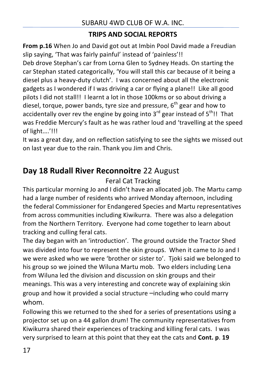#### **TRIPS AND SOCIAL REPORTS**

**From p.16** When Jo and David got out at Imbin Pool David made a Freudian slip saying, 'That was fairly painful' instead of 'painless'!!

Deb drove Stephan's car from Lorna Glen to Sydney Heads. On starting the car Stephan stated categorically, 'You will stall this car because of it being a diesel plus a heavy-duty clutch'. I was concerned about all the electronic gadgets as I wondered if I was driving a car or flying a plane!! Like all good pilots I did not stall!! I learnt a lot in those 100kms or so about driving a diesel, torque, power bands, tyre size and pressure,  $6<sup>th</sup>$  gear and how to accidentally over rev the engine by going into  $3^{rd}$  gear instead of  $5^{th}$ !! That was Freddie Mercury's fault as he was rather loud and 'travelling at the speed of light....'!!!

It was a great day, and on reflection satisfying to see the sights we missed out on last year due to the rain. Thank you Jim and Chris.

## **Day 18 Rudall River Reconnoitre 22 August**

#### Feral Cat Tracking

This particular morning Jo and I didn't have an allocated job. The Martu camp had a large number of residents who arrived Monday afternoon, including the federal Commissioner for Endangered Species and Martu representatives from across communities including Kiwikurra. There was also a delegation from the Northern Territory. Everyone had come together to learn about tracking and culling feral cats.

The day began with an 'introduction'. The ground outside the Tractor Shed was divided into four to represent the skin groups. When it came to Jo and I we were asked who we were 'brother or sister to'. Tjoki said we belonged to his group so we joined the Wiluna Martu mob. Two elders including Lena from Wiluna led the division and discussion on skin groups and their meanings. This was a very interesting and concrete way of explaining skin group and how it provided a social structure  $\rightarrow$ including who could marry whom.

Following this we returned to the shed for a series of presentations using a projector set up on a 44 gallon drum! The community representatives from Kiwikurra shared their experiences of tracking and killing feral cats. I was very surprised to learn at this point that they eat the cats and **Cont.** p. 19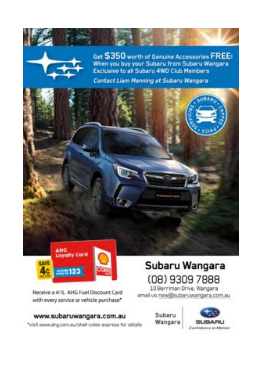



Get \$350 worth of Genuine Accessories FREE! When you buy your Subaru from Subaru Wangara Exclusive to all Subaru 4WD Club Members

Contact Liam Manning at Subaru Wangara





Receive a 4//L AHG Fuel Discount Card with every service or vehicle purchase\*

# www.subaruwangara.com.au

\*visit www.ahg.com.au/shell-coles-express for details

# Subaru Wangara (08) 9309 7888

10 Berriman Drive, Wangara email us new@subaruwangara.com.au

> Subaru Wangara

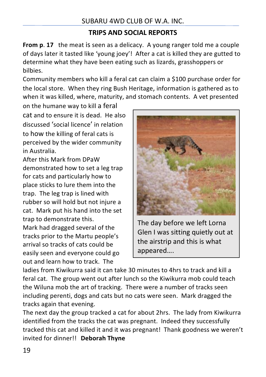### **TRIPS AND SOCIAL REPORTS**

**From p. 17** the meat is seen as a delicacy. A young ranger told me a couple of days later it tasted like 'young joey'! After a cat is killed they are gutted to determine what they have been eating such as lizards, grasshoppers or bilbies.

Community members who kill a feral cat can claim a \$100 purchase order for the local store. When they ring Bush Heritage, information is gathered as to when it was killed, where, maturity, and stomach contents. A vet presented

on the humane way to kill a feral cat and to ensure it is dead. He also discussed 'social licence' in relation to how the killing of feral cats is perceived by the wider community in Australia.

After this Mark from DPaW demonstrated how to set a leg trap for cats and particularly how to place sticks to lure them into the trap. The leg trap is lined with rubber so will hold but not injure a cat. Mark put his hand into the set trap to demonstrate this. Mark had dragged several of the tracks prior to the Martu people's arrival so tracks of cats could be easily seen and everyone could go out and learn how to track. The



The day before we left Lorna Glen I was sitting quietly out at the airstrip and this is what appeared….

ladies from Kiwikurra said it can take 30 minutes to 4hrs to track and kill a feral cat. The group went out after lunch so the Kiwikurra mob could teach the Wiluna mob the art of tracking. There were a number of tracks seen including perenti, dogs and cats but no cats were seen. Mark dragged the tracks again that evening.

The next day the group tracked a cat for about 2hrs. The lady from Kiwikurra identified from the tracks the cat was pregnant. Indeed they successfully tracked this cat and killed it and it was pregnant! Thank goodness we weren't invited for dinner!! Deborah Thyne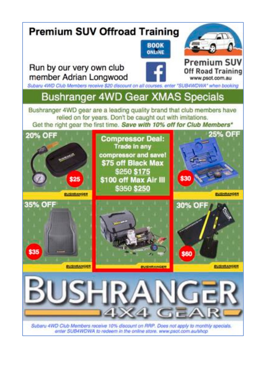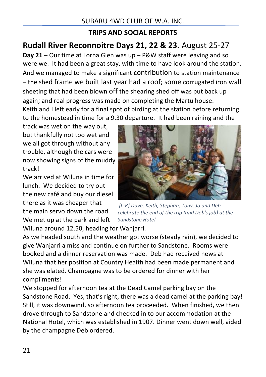## **TRIPS AND SOCIAL REPORTS**

## **Rudall River Reconnoitre Days 21, 22 & 23.** August 25-27

**Day 21** – Our time at Lorna Glen was up – P&W staff were leaving and so were we. It had been a great stay, with time to have look around the station. And we managed to make a significant contribution to station maintenance – the shed frame we built last year had a roof; some corrugated iron wall sheeting that had been blown off the shearing shed off was put back up again; and real progress was made on completing the Martu house. Keith and I left early for a final spot of birding at the station before returning

to the homestead in time for a 9.30 departure. It had been raining and the

track was wet on the way out. but thankfully not too wet and we all got through without any trouble, although the cars were now showing signs of the muddy track!

We arrived at Wiluna in time for lunch. We decided to try out the new café and buy our diesel there as it was cheaper that the main servo down the road. We met up at the park and left

*[L-R] Dave, Keith, Stephan, Tony, Jo and Deb celebrate the end of the trip (and Deb's job)* at the *Sandstone Hotel*

Wiluna around 12.50, heading for Wanjarri.

As we headed south and the weather got worse (steady rain), we decided to give Wanjarri a miss and continue on further to Sandstone. Rooms were booked and a dinner reservation was made. Deb had received news at Wiluna that her position at Country Health had been made permanent and she was elated. Champagne was to be ordered for dinner with her compliments!

We stopped for afternoon tea at the Dead Camel parking bay on the Sandstone Road. Yes, that's right, there was a dead camel at the parking bay! Still, it was downwind, so afternoon tea proceeded. When finished, we then drove through to Sandstone and checked in to our accommodation at the National Hotel, which was established in 1907. Dinner went down well, aided by the champagne Deb ordered.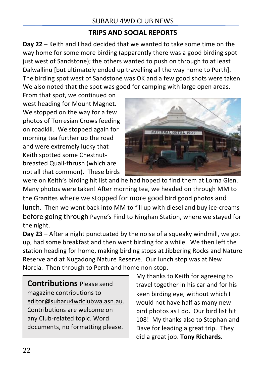#### **TRIPS AND SOCIAL REPORTS**

**Day 22** – Keith and I had decided that we wanted to take some time on the way home for some more birding (apparently there was a good birding spot just west of Sandstone); the others wanted to push on through to at least Dalwallinu Ibut ultimately ended up travelling all the way home to Perth]. The birding spot west of Sandstone was OK and a few good shots were taken. We also noted that the spot was good for camping with large open areas.

From that spot, we continued on west heading for Mount Magnet. We stopped on the way for a few photos of Torresian Crows feeding on roadkill. We stopped again for morning tea further up the road and were extremely lucky that Keith spotted some Chestnutbreasted Quail-thrush (which are not all that common). These birds



were on Keith's birding hit list and he had hoped to find them at Lorna Glen. Many photos were taken! After morning tea, we headed on through MM to the Granites where we stopped for more good bird good photos and lunch. Then we went back into MM to fill up with diesel and buy ice-creams before going through Payne's Find to Ninghan Station, where we stayed for the night.

**Day 23** – After a night punctuated by the noise of a squeaky windmill, we got up, had some breakfast and then went birding for a while. We then left the station heading for home, making birding stops at Jibbering Rocks and Nature Reserve and at Nugadong Nature Reserve. Our lunch stop was at New Norcia. Then through to Perth and home non-stop.

**Contributions** Please send magazine contributions to editor@subaru4wdclubwa.asn.au. Contributions are welcome on any Club-related topic. Word documents, no formatting please.

My thanks to Keith for agreeing to travel together in his car and for his keen birding eye, without which I would not have half as many new bird photos as I do. Our bird list hit 108! My thanks also to Stephan and Dave for leading a great trip. They did a great job. Tony Richards.